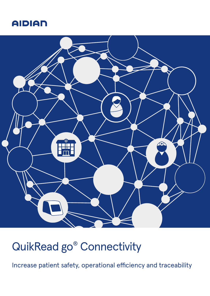# **AIDIAN**



# QuikRead go® Connectivity

Increase patient safety, operational efficiency and traceability